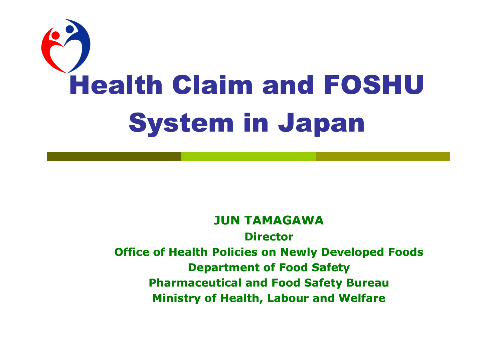

#### **JUN TAMAGAWA**

**Director** 

**Office of Health Policies on Newly Developed Foods Department of Food Safety Pharmaceutical and Food Safety Bureau Ministry of Health, Labour and Welfare**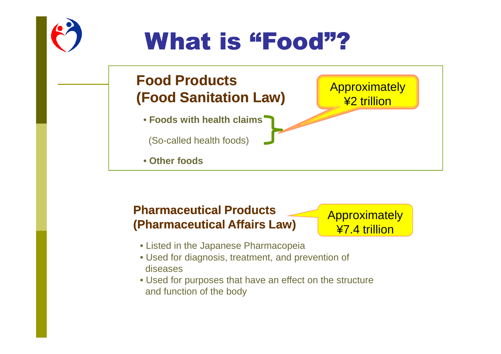# What is "Food"?

### **Food Products (Food Sanitation Law)(Food Law)**

• **Foods with health claims**

(So-called health foods)

• **Other foods**

#### **Approximately** ¥2 trillion

### **Pharmaceutical Products (Pharmaceutical Affairs Law)(Pharmaceutical Law)**

**Approximately** ¥7.4 trillion

- Listed in the Japanese Pharmacopeia
- Used for diagnosis, treatment, and prevention of diseases
- Used for purposes that have an effect on the structure and function of the body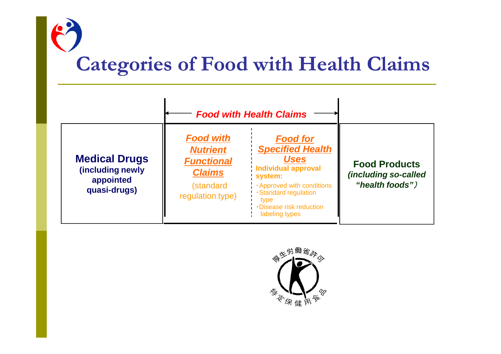## **Categories of Food with Health Claims**

|                                                                       | <b>Food with Health Claims</b>                                                                             |                                                                                                                                                                                                                            |                                                                 |
|-----------------------------------------------------------------------|------------------------------------------------------------------------------------------------------------|----------------------------------------------------------------------------------------------------------------------------------------------------------------------------------------------------------------------------|-----------------------------------------------------------------|
| <b>Medical Drugs</b><br>(including newly<br>appointed<br>quasi-drugs) | <b>Food with</b><br><b>Nutrient</b><br><b>Functional</b><br><b>Claims</b><br>(standard<br>regulation type) | <b>Food for</b><br><b>Specified Health</b><br><b>Uses</b><br><b>Individual approval</b><br>system:<br><b>-Approved with conditions</b><br>· Standard regulation<br>type<br><b>Disease risk reduction</b><br>labeling types | <b>Food Products</b><br>(including so-called<br>"health foods") |

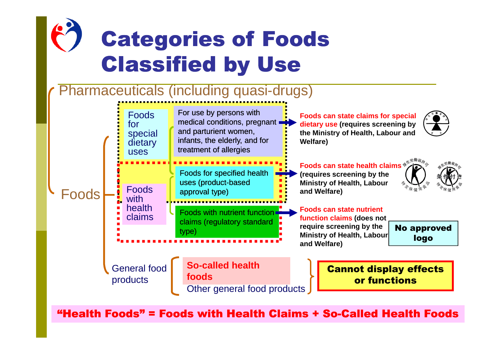

"Health Foods" = Foods with Health Claims + So-Called Health Foods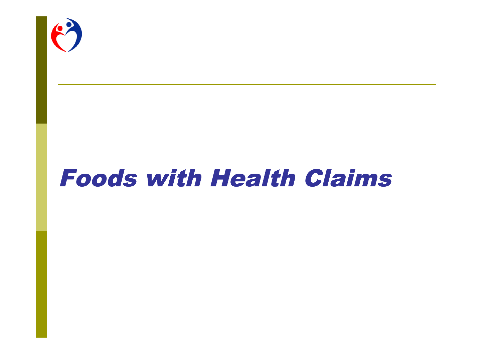

## **Foods with Health Claims**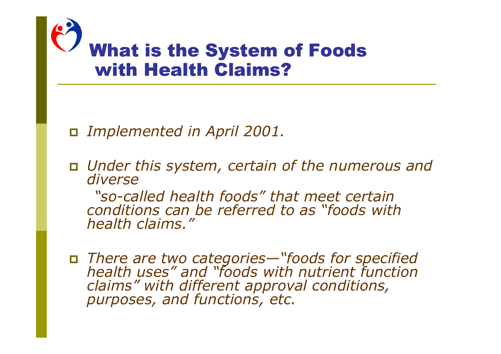

*Implemented in April 2001.*

 *Under this system, certain of the numerous and diverse*

*"so-called health foods" that meet certain conditions can be referred to as "foods with health claims."*

 *There are two categories—"foods for specified health uses" and "foods with nutrient function claims" with different approval conditions, purposes, and functions, etc.*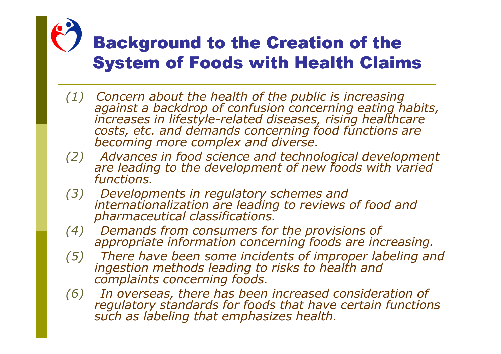## **Background to the Creation of the System of Foods with Health Claims**

- *(1) Concern about the health of the public is increasing against a backdrop of confusion concerning eating habits, increases in lifestyle-related diseases, rising healthcare costs, etc. and demands concerning food functions are becoming more complex and diverse.*
- *(2) Advances in food science and technological development are leading to the development of new foods with varied functions.*
- *(3) Developments in regulatory schemes and internationalization are leading to reviews of food and pharmaceutical classifications.*
- *(4) Demands from consumers for the provisions of appropriate information concerning foods are increasing.*
- *(5) There have been some incidents of improper labeling and ingestion methods leading to risks to health and complaints concerning foods.*
- *(6) In overseas, there has been increased consideration of regulatory standards for foods that have certain functions such as labeling that emphasizes health.*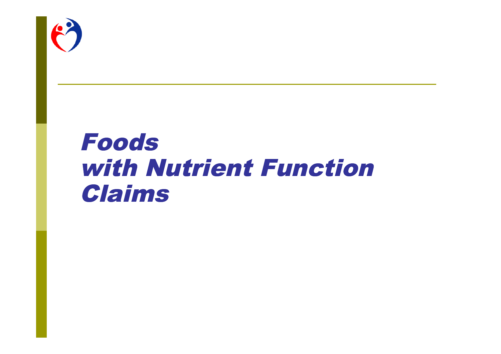

## Foods with Nutrient Function Claims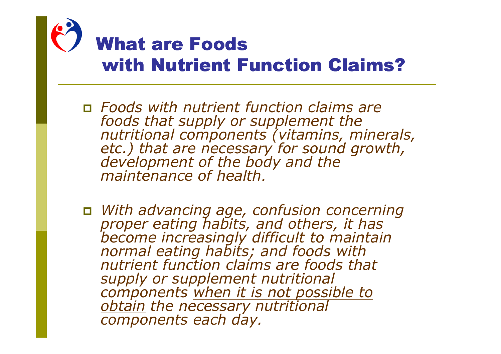

### **What are Foods** with Nutrient Function Claims?

- *Foods with nutrient function claims are foods that supply or supplement the nutritional components (vitamins, minerals, etc.) that are necessary for sound growth, development of the body and the maintenance of health.*
- *With advancing age, confusion concerning proper eating habits, and others, it has become increasingly difficult to maintain normal eating habits; and foods with nutrient function claims are foods that supply or supplement nutritional components when it is not possible to obtain the necessary nutritional components each day.*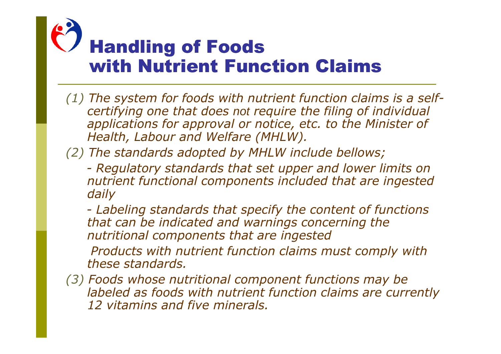# **Handling of Foods** with Nutrient Function Claims

- *(1) The system for foods with nutrient function claims is a selfcertifying one that does not require the filing of individual applications for approval or notice, etc. to the Minister of Health, Labour and Welfare (MHLW).*
- *(2) The standards adopted by MHLW include bellows;*
	- *Regulatory standards that set upper and lower limits on nutrient functional components included that are ingested daily*

*- Labeling standards that specify the content of functions that can be indicated and warnings concerning the nutritional components that are ingested*

*Products with nutrient function claims must comply with these standards.*

*(3) Foods whose nutritional component functions may be labeled as foods with nutrient function claims are currently 12 vitamins and five minerals.*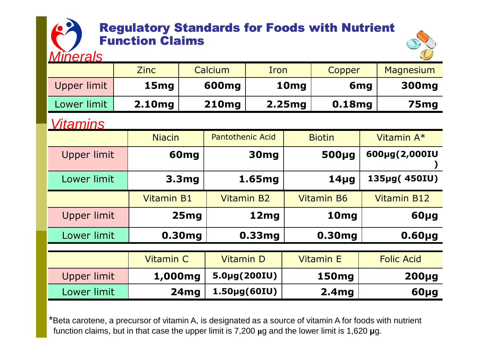### **Regulatory Standards for Foods with Nutrient Function Claims**

*Minerals*



| <u>MITERIS</u>     |                   |                   |                            |        |        |                   |                 | $\sim$             |
|--------------------|-------------------|-------------------|----------------------------|--------|--------|-------------------|-----------------|--------------------|
|                    | <b>Zinc</b>       |                   | Calcium                    | Iron   |        | Copper            |                 | Magnesium          |
| Upper limit        | 15 <sub>mg</sub>  |                   | 600 <sub>mg</sub>          |        | 10mg   |                   | 6 <sub>mg</sub> | 300mg              |
| Lower limit        | 2.10mg            |                   | <b>210mg</b>               |        | 2.25mg | 0.18mg            |                 | 75 <sub>mg</sub>   |
| <u>Vitamins</u>    |                   |                   |                            |        |        |                   |                 |                    |
|                    | <b>Niacin</b>     |                   | <b>Pantothenic Acid</b>    |        |        | <b>Biotin</b>     |                 | Vitamin A*         |
| <b>Upper limit</b> |                   | 60 <sub>mg</sub>  |                            | 30mg   |        | 500µg             |                 | 600µg(2,000IU      |
| Lower limit        |                   | 3.3 <sub>mg</sub> |                            | 1.65mg |        | $14\mug$          |                 | 135µg(450IU)       |
|                    | <b>Vitamin B1</b> |                   | <b>Vitamin B2</b>          |        |        | <b>Vitamin B6</b> |                 | <b>Vitamin B12</b> |
| Upper limit        |                   | 25mg              |                            | 12mg   |        | 10 <sub>mg</sub>  |                 | 60µg               |
| Lower limit        |                   | 0.30mg            |                            | 0.33mg |        | 0.30mg            |                 | $0.60\mug$         |
|                    |                   |                   |                            |        |        |                   |                 |                    |
|                    | <b>Vitamin C</b>  |                   | <b>Vitamin D</b>           |        |        | <b>Vitamin E</b>  |                 | <b>Folic Acid</b>  |
| Upper limit        | 1,000mg           |                   | 5.0µg(200IU)               |        |        | <b>150mg</b>      |                 | $200\mug$          |
| Lower limit        |                   | 24mg              | $1.50 \mu g(60 \text{IU})$ |        |        | 2.4 <sub>mg</sub> |                 | 60µg               |

\*Beta carotene, a precursor of vitamin A, is designated as a source of vitamin A for foods with nutrient function claims, but in that case the upper limit is 7,200 **μ**g and the lower limit is 1,620 **μ**g.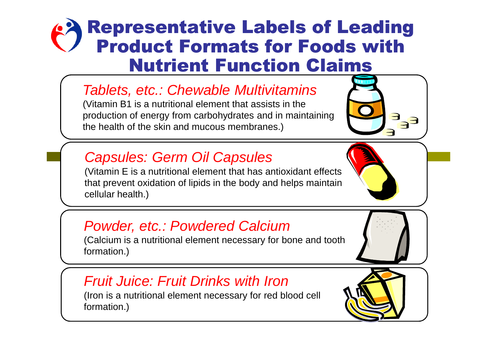### **Representative Labels of Leading Product Formats for Foods with Nutrient Function Claims**

### *Tablets, etc.: Chewable Multivitamins*

(Vitamin B1 is a nutritional element that assists in the production of energy from carbohydrates and in maintaining the health of the skin and mucous membranes.)

### *Capsules: Germ Oil Capsules*

(Vitamin E is a nutritional element that has antioxidant effects that prevent oxidation of lipids in the body and helps maintain cellular health.)

### *Powder, etc.: Powdered Calcium*

(Calcium is a nutritional element necessary for bone and tooth formation.)

### *Fruit Juice: Fruit Drinks with Iron*

(Iron is a nutritional element necessary for red blood cell formation.)

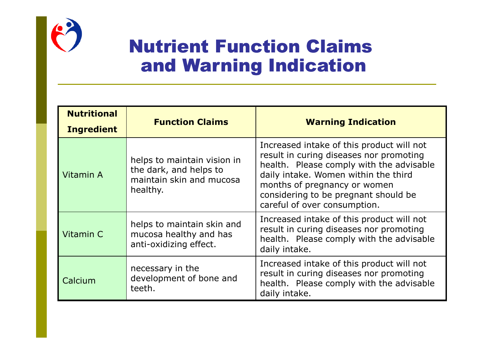

### **Nutrient Function Claims** and Warning Indication

| <b>Nutritional</b><br><b>Ingredient</b> | <b>Function Claims</b>                                                                        | <b>Warning Indication</b>                                                                                                                                                                                                                                                        |  |  |
|-----------------------------------------|-----------------------------------------------------------------------------------------------|----------------------------------------------------------------------------------------------------------------------------------------------------------------------------------------------------------------------------------------------------------------------------------|--|--|
| Vitamin A                               | helps to maintain vision in<br>the dark, and helps to<br>maintain skin and mucosa<br>healthy. | Increased intake of this product will not<br>result in curing diseases nor promoting<br>health. Please comply with the advisable<br>daily intake. Women within the third<br>months of pregnancy or women<br>considering to be pregnant should be<br>careful of over consumption. |  |  |
| Vitamin C                               | helps to maintain skin and<br>mucosa healthy and has<br>anti-oxidizing effect.                | Increased intake of this product will not<br>result in curing diseases nor promoting<br>health. Please comply with the advisable<br>daily intake.                                                                                                                                |  |  |
| Calcium                                 | necessary in the<br>development of bone and<br>teeth.                                         | Increased intake of this product will not<br>result in curing diseases nor promoting<br>health. Please comply with the advisable<br>daily intake.                                                                                                                                |  |  |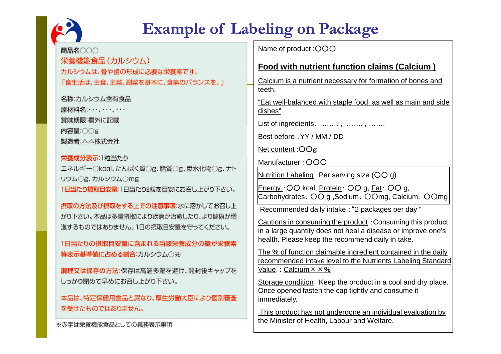

### **Example of Labeling on Package**

Name of product : OOO 商品名〇〇〇 栄養機能食品 (カルシウム) **Food with nutrient function claims (Calcium )** カルシウムは、骨や歯の形成に必要な栄養素です。 Calcium is a nutrient necessary for formation of bones and 「食生活は、主食、主菜、副菜を基本に、食事のバランスを。」 teeth. 名称:カルシウム含有食品 "Eat well-balanced with staple food, as well as main and side 原材料名:…..….... dishes" 嘗味期限:欄外に記載 List of ingredients: ……., ……., ……… 内容量:OOg Best before :YY / MM / DD 製造者:△△株式会社 Net content :○○g 栄養成分表示:1粒当たり Manufacturer : OOO エネルギー○kcal、たんぱく質○g、脂質○g、炭水化物○g、ナト Nutrition Labeling : Per serving size  $(OO g)$ リウムOg、カルシウムOmg Energy :○○ kcal, Protein: ○○ g, Fat: ○○ g, 1日当たり摂取目安量:1日当たり2粒を目安にお召し上がり下さい。 Carbohydrates: ○○ g ,Sodium: ○○mg, Calcium: ○○mg 摂取の方法及び摂取をする上での注意事項:水に溶かしてお召し上 Recommended daily intake :"2 packages per day " がり下さい。本品は多量摂取により疾病が治癒したり、より健康が増 Cautions in consuming the product :Consuming this product 進するものではありません。1日の摂取目安量を守ってください。 in a large quantity does not heal a disease or improve one's health. Please keep the recommend daily in take. 1日当たりの摂取目安量に含まれる当該栄養成分の量が栄養素 The % of function claimable ingredient contained in the daily 等表示基準値に占める割合:カルシウム○% recommended intake level to the Nutrients Labeling Standard Value. : Calcium  $\times \times \%$ 調理又は保存の方法:保存は高温多湿を避け、開封後キャップを しっかり閉めて早めにお召し上がり下さい。 Storage condition : Keep the product in a cool and dry place. Once opened fasten the cap tightly and consume it 本品は、特定保健用食品と異なり、厚生労働大臣により個別審査 immediately. を受けたものではありません。 This product has not undergone an individual evaluation by the Minister of Health, Labour and Welfare.※赤字は栄養機能食品としての義務表示事項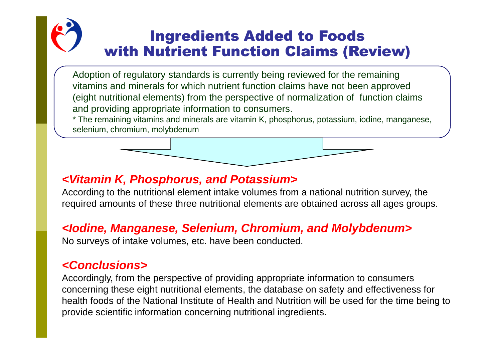### **Ingredients Added to Foods** with Nutrient Function Claims (Review)

Adoption of regulatory standards is currently being reviewed for the remaining vitamins and minerals for which nutrient function claims have not been approved (eight nutritional elements) from the perspective of normalization of function claims and providing appropriate information to consumers.

\* The remaining vitamins and minerals are vitamin K, phosphorus, potassium, iodine, manganese, selenium, chromium, molybdenum

### *<Vitamin K, Phosphorus, and Potassium>*

According to the nutritional element intake volumes from a national nutrition survey, the required amounts of these three nutritional elements are obtained across all ages groups.

#### *<Iodine, Manganese, Selenium, Chromium, and Molybdenum>*

No surveys of intake volumes, etc. have been conducted.

#### *<Conclusions>*

Accordingly, from the perspective of providing appropriate information to consumers concerning these eight nutritional elements, the database on safety and effectiveness for health foods of the National Institute of Health and Nutrition will be used for the time being to provide scientific information concerning nutritional ingredients.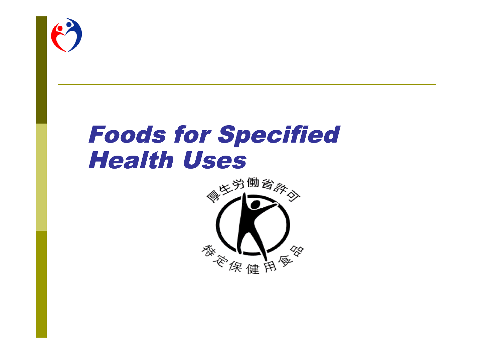

## **Foods for Specified Health Uses**

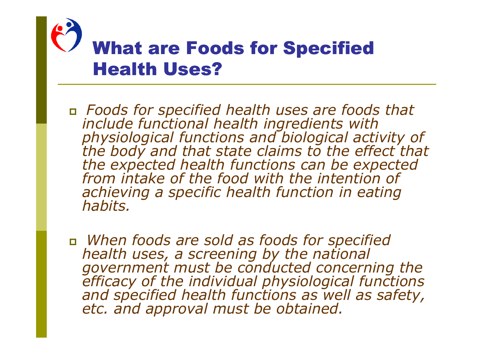

### **What are Foods for Specified Health Uses?**

- *Foods for specified health uses are foods that include functional health ingredients with physiological functions and biological activity of the body and that state claims to the effect that the expected health functions can be expected from intake of the food with the intention of achieving a specific health function in eating habits.*
- *When foods are sold as foods for specified health uses, a screening by the national government must be conducted concerning the efficacy of the individual physiological functions and specified health functions as well as safety, etc. and approval must be obtained.*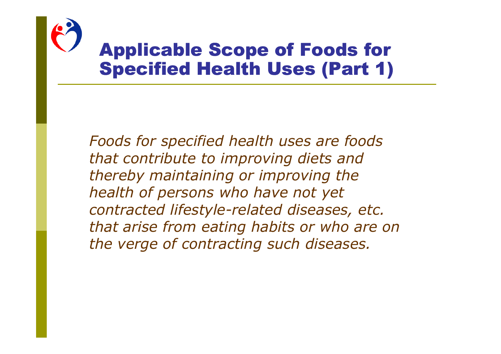

### **Applicable Scope of Foods for Specified Health Uses (Part 1)**

*Foods for specified health uses are foods that contribute to improving diets and thereby maintaining or improving the health of persons who have not yet contracted lifestyle-related diseases, etc. that arise from eating habits or who are on the verge of contracting such diseases.*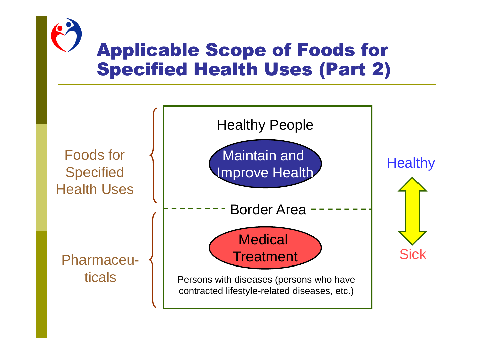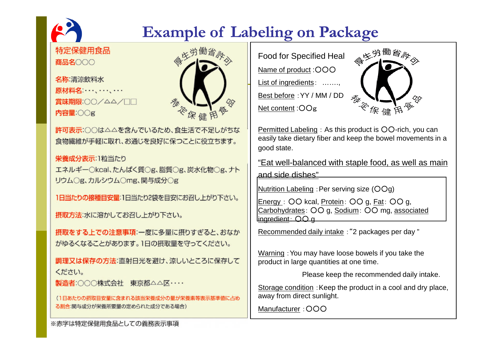## 特定保健用食品 商品名000

### **Example of Labeling on Package**

名称:清涼飲料水 原材料名:…、…、… 営味期限:○○/△△/□□ 内容量:00g



許可表示:○○は△△を含んでいるため、食生活で不足しがちな 食物繊維が手軽に取れ、お通じを良好に保つことに役立ちます。

#### 栄養成分表示:1粒当たり

エネルギー○kcal、たんぱく質○g、脂質○g、炭水化物○g、ナト リウムOg、カルシウムOmg、関与成分Og

1日当たりの接種目安量:1日当たり2袋を目安にお召し上がり下さい。

摂取方法:水に溶かしてお召し上がり下さい。

摂取をする上での注意事項:一度に多量に摂りすぎると、おなか がゆるくなることがあります。1日の摂取量を守ってください。

調理又は保存の方法:直射日光を避け、涼しいところに保存して ください。

製造者:○○○株式会社 東京都△△区……

(1日あたりの摂取目安量に含まれる該当栄養成分の量が栄養素等表示基準値に占め る割合:関与成分が栄養所要量の定められた成分である場合)

Food for Specified Heal 《吃<sup>的働資</sup>科 Name of product : OOO List of ingredients: ……., Best before :YY / MM / DD Net content :○○g



Permitted Labeling : As this product is OO-rich, you can easily take dietary fiber and keep the bowel movements in a good state.

"Eat well-balanced with staple food, as well as main and side dishes"

Nutrition Labeling :Per serving size (○○g)

Energy : ○○ kcal, Protein: ○○ g, Fat: ○○ g, Carbohydrates: ○○ g, Sodium: ○○ mg, associated ingredient: ○○ g

Recommended daily intake :"2 packages per day "

Warning :You may have loose bowels if you take the product in large quantities at one time.

Please keep the recommended daily intake.

Storage condition : Keep the product in a cool and dry place, away from direct sunlight.

Manufacturer : OOO

※赤字は特定保健用食品としての義務表示事項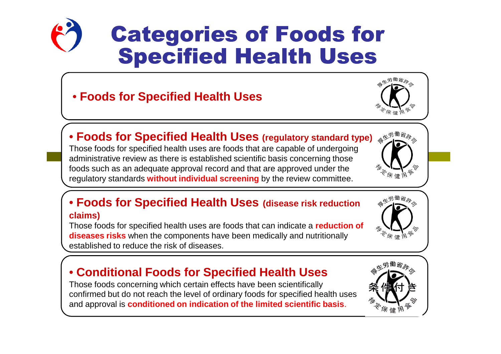

## **Categories of Foods for Specified Health Uses**

### • **Foods for Specified Health Uses**



### • **Foods for Specified Health Uses (regulatory standard type)**

Those foods for specified health uses are foods that are capable of undergoing administrative review as there is established scientific basis concerning those foods such as an adequate approval record and that are approved under the regulatory standards **without individual screening** by the review committee.

#### • **Foods for Specified Health Uses (disease risk reduction claims)**

Those foods for specified health uses are foods that can indicate a **reduction of diseases risks** when the components have been medically and nutritionally established to reduce the risk of diseases.

### • **Conditional Foods for Specified Health Uses**

Those foods concerning which certain effects have been scientifically confirmed but do not reach the level of ordinary foods for specified health uses and approval is **conditioned on indication of the limited scientific basis**.





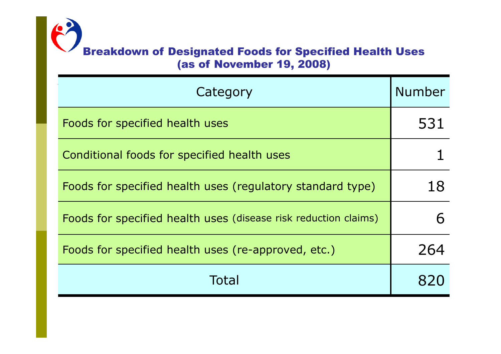### Breakdown of Designated Foods for Specified Health Uses (as of November 19, 2008)

| Category                                                        | <b>Number</b> |
|-----------------------------------------------------------------|---------------|
| Foods for specified health uses                                 | 531           |
| Conditional foods for specified health uses                     |               |
| Foods for specified health uses (regulatory standard type)      | 18            |
| Foods for specified health uses (disease risk reduction claims) |               |
| Foods for specified health uses (re-approved, etc.)             | 264           |
| Total                                                           |               |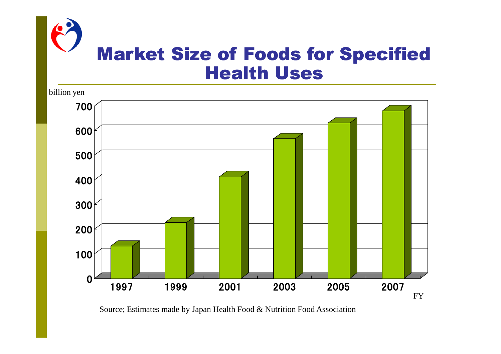



Source; Estimates made by Japan Health Food & Nutrition Food Association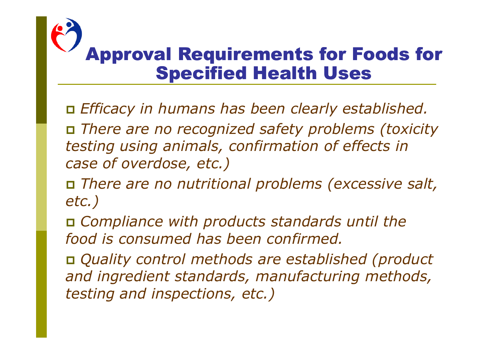## **Approval Requirements for Foods for Specified Health Uses**

*Efficacy in humans has been clearly established.*

 *There are no recognized safety problems (toxicity testing using animals, confirmation of effects in case of overdose, etc.)*

 *There are no nutritional problems (excessive salt, etc.)*

 *Compliance with products standards until the food is consumed has been confirmed.*

 *Quality control methods are established (product and ingredient standards, manufacturing methods, testing and inspections, etc.)*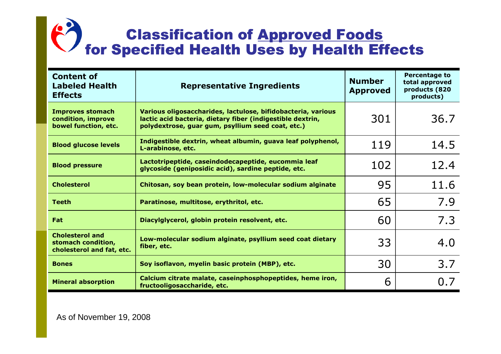### **Classification of Approved Foods** for Specified Health Uses by Health Effects

| <b>Content of</b><br><b>Labeled Health</b><br><b>Effects</b>              | <b>Representative Ingredients</b>                                                                                                                                               | <b>Number</b><br><b>Approved</b> | <b>Percentage to</b><br>total approved<br>products (820<br>products) |
|---------------------------------------------------------------------------|---------------------------------------------------------------------------------------------------------------------------------------------------------------------------------|----------------------------------|----------------------------------------------------------------------|
| <b>Improves stomach</b><br>condition, improve<br>bowel function, etc.     | Various oligosaccharides, lactulose, bifidobacteria, various<br>lactic acid bacteria, dietary fiber (indigestible dextrin,<br>polydextrose, guar gum, psyllium seed coat, etc.) | 301                              | 36.7                                                                 |
| <b>Blood glucose levels</b>                                               | Indigestible dextrin, wheat albumin, guava leaf polyphenol,<br>L-arabinose, etc.                                                                                                | 119                              | 14.5                                                                 |
| <b>Blood pressure</b>                                                     | Lactotripeptide, caseindodecapeptide, eucommia leaf<br>glycoside (geniposidic acid), sardine peptide, etc.                                                                      | 102                              | 12.4                                                                 |
| <b>Cholesterol</b>                                                        | Chitosan, soy bean protein, low-molecular sodium alginate                                                                                                                       | 95                               | 11.6                                                                 |
| <b>Teeth</b>                                                              | Paratinose, multitose, erythritol, etc.                                                                                                                                         | 65                               | 7.9                                                                  |
| Fat                                                                       | Diacylglycerol, globin protein resolvent, etc.                                                                                                                                  | 60                               | 7.3                                                                  |
| <b>Cholesterol and</b><br>stomach condition,<br>cholesterol and fat, etc. | Low-molecular sodium alginate, psyllium seed coat dietary<br>fiber, etc.                                                                                                        | 33                               | 4.0                                                                  |
| <b>Bones</b>                                                              | Soy isoflavon, myelin basic protein (MBP), etc.                                                                                                                                 | 30                               | 3.7                                                                  |
| <b>Mineral absorption</b>                                                 | Calcium citrate malate, caseinphosphopeptides, heme iron,<br>fructooligosaccharide, etc.                                                                                        | 6                                | 0.7                                                                  |

As of November 19, 2008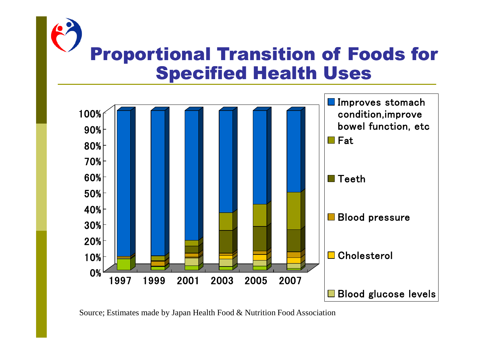



Source; Estimates made by Japan Health Food & Nutrition Food Association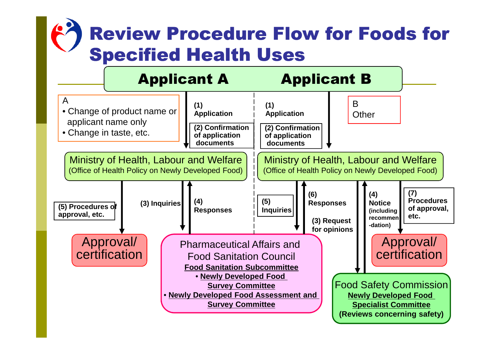## **Review Procedure Flow for Foods for Specified Health Uses**

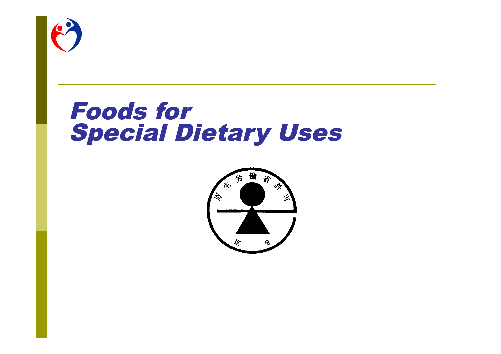

## **Foods for Special Dietary Uses**

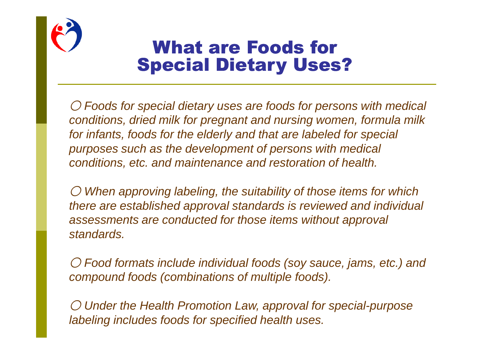

### **What are Foods for Special Dietary Uses?**

○ *Foods for special dietary uses are foods for persons with medical conditions, dried milk for pregnant and nursing women, formula milk for infants, foods for the elderly and that are labeled for special purposes such as the development of persons with medical conditions, etc. and maintenance and restoration of health.*

○ *When approving labeling, the suitability of those items for which there are established approval standards is reviewed and individual assessments are conducted for those items without approval standards.*

○ *Food formats include individual foods (soy sauce, jams, etc.) and compound foods (combinations of multiple foods).*

○ *Under the Health Promotion Law, approval for special-purpose labeling includes foods for specified health uses.*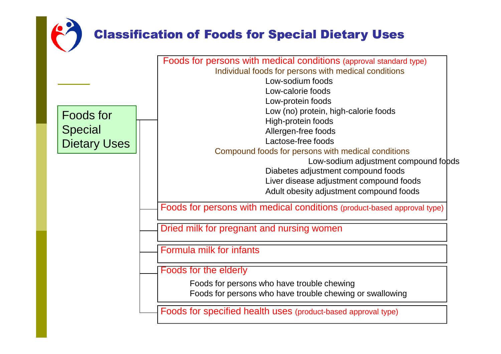### **Classification of Foods for Special Dietary Uses**

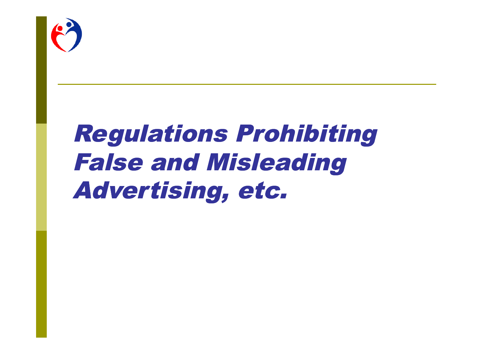

## **Regulations Prohibiting False and Misleading** Advertising, etc.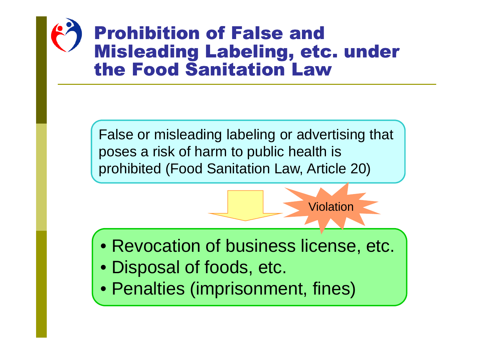## **Prohibition of False and Misleading Labeling, etc. under** the Food Sanitation Law

False or misleading labeling or advertising that poses a risk of harm to public health is prohibited (Food Sanitation Law, Article 20)

• Revocation of business license, etc. • Disposal of foods, etc.

Violation

• Penalties (imprisonment, fines)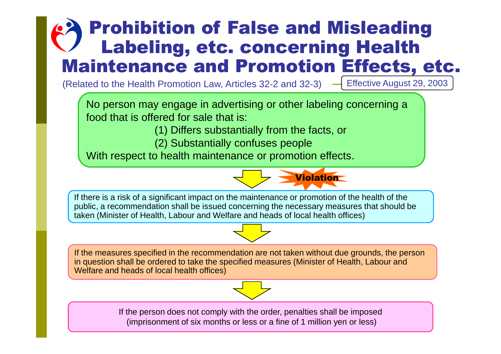### **Prohibition of False and Misleading** Labeling, etc. concerning Health **Maintenance and Promotion Effects, etc.**

 $\cdot$  (Related to the Health Promotion Law, Articles 32-2 and 32-3)  $\rightarrow$  Effective August 29, 2003

No person may engage in advertising or other labeling concerning a food that is offered for sale that is:

(1) Differs substantially from the facts, or

(2) Substantially confuses people

With respect to health maintenance or promotion effects.



If there is a risk of a significant impact on the maintenance or promotion of the health of the public, a recommendation shall be issued concerning the necessary measures that should be taken (Minister of Health, Labour and Welfare and heads of local health offices)

If the measures specified in the recommendation are not taken without due grounds, the person in question shall be ordered to take the specified measures (Minister of Health, Labour and Welfare and heads of local health offices)



If the person does not comply with the order, penalties shall be imposed (imprisonment of six months or less or a fine of 1 million yen or less)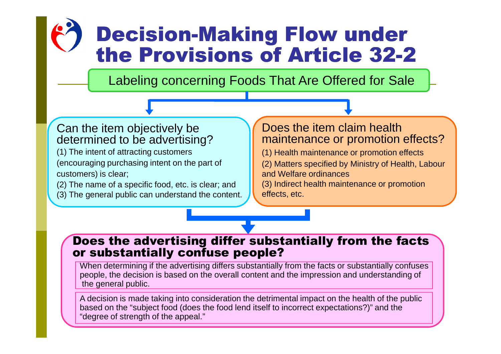## **Decision-Making Flow under** the Provisions of Article 32-2

Labeling concerning Foods That Are Offered for Sale

#### Can the item objectively be determined to be advertising?

(1) The intent of attracting customers (encouraging purchasing intent on the part of customers) is clear;

(2) The name of a specific food, etc. is clear; and

(3) The general public can understand the content.

#### Does the item claim health maintenance or promotion effects?

(1) Health maintenance or promotion effects

(2) Matters specified by Ministry of Health, Labour and Welfare ordinances

(3) Indirect health maintenance or promotion effects, etc.

#### Does the advertising differ substantially from the facts or substantially confuse people?

When determining if the advertising differs substantially from the facts or substantially confuses people, the decision is based on the overall content and the impression and understanding of the general public.

A decision is made taking into consideration the detrimental impact on the health of the public based on the "subject food (does the food lend itself to incorrect expectations?)" and the "degree of strength of the appeal."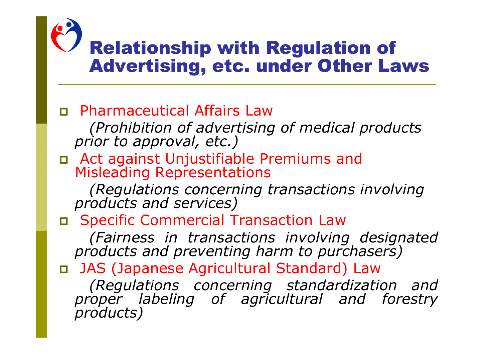### **Relationship with Regulation of** Advertising, etc. under Other Laws

- Pharmaceutical Affairs Law *(Prohibition of advertising of medical products prior to approval, etc.)*
- Act against Unjustifiable Premiums and Misleading Representations

*(Regulations concerning transactions involving products and services)*

Specific Commercial Transaction Law

*(Fairness in transactions involving designated products and preventing harm to purchasers)*

 JAS (Japanese Agricultural Standard) Law *(Regulations concerning standardization and proper labeling of agricultural and forestry products)*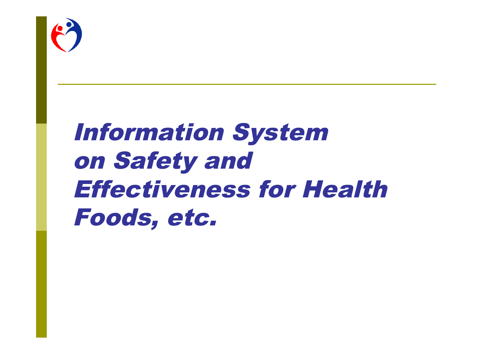

## Information System on Safety and Effectiveness for Health Foods, etc.